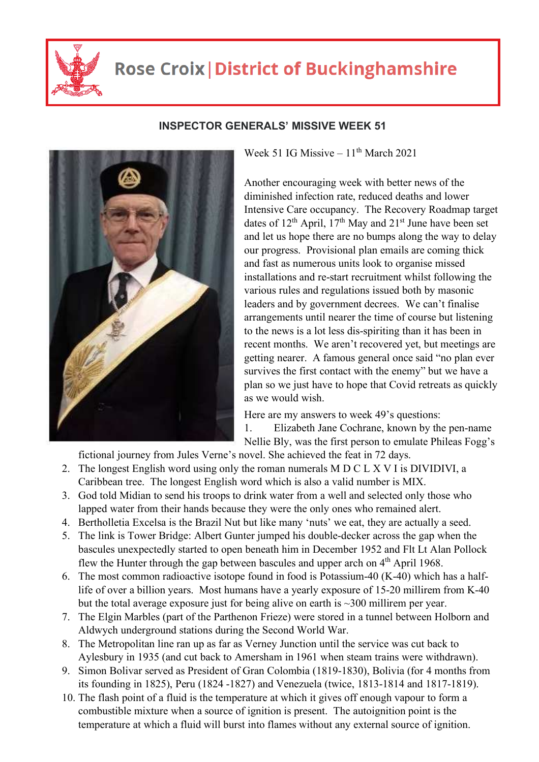

## **Rose Croix | District of Buckinghamshire**



## **INSPECTOR GENERALS' MISSIVE WEEK 51**

Week 51 IG Missive –  $11<sup>th</sup>$  March 2021

Another encouraging week with better news of the diminished infection rate, reduced deaths and lower Intensive Care occupancy. The Recovery Roadmap target dates of  $12^{th}$  April,  $17^{th}$  May and  $21^{st}$  June have been set and let us hope there are no bumps along the way to delay our progress. Provisional plan emails are coming thick and fast as numerous units look to organise missed installations and re-start recruitment whilst following the various rules and regulations issued both by masonic leaders and by government decrees. We can't finalise arrangements until nearer the time of course but listening to the news is a lot less dis-spiriting than it has been in recent months. We aren't recovered yet, but meetings are getting nearer. A famous general once said "no plan ever survives the first contact with the enemy" but we have a plan so we just have to hope that Covid retreats as quickly as we would wish.

Here are my answers to week 49's questions: 1. Elizabeth Jane Cochrane, known by the pen-name Nellie Bly, was the first person to emulate Phileas Fogg's

fictional journey from Jules Verne's novel. She achieved the feat in 72 days.

- 2. The longest English word using only the roman numerals M D C L X V I is DIVIDIVI, a Caribbean tree. The longest English word which is also a valid number is MIX.
- 3. God told Midian to send his troops to drink water from a well and selected only those who lapped water from their hands because they were the only ones who remained alert.
- 4. Bertholletia Excelsa is the Brazil Nut but like many 'nuts' we eat, they are actually a seed.
- 5. The link is Tower Bridge: Albert Gunter jumped his double-decker across the gap when the bascules unexpectedly started to open beneath him in December 1952 and Flt Lt Alan Pollock flew the Hunter through the gap between bascules and upper arch on  $4<sup>th</sup>$  April 1968.
- 6. The most common radioactive isotope found in food is Potassium-40 (K-40) which has a halflife of over a billion years. Most humans have a yearly exposure of 15-20 millirem from K-40 but the total average exposure just for being alive on earth is  $\sim$ 300 millirem per year.
- 7. The Elgin Marbles (part of the Parthenon Frieze) were stored in a tunnel between Holborn and Aldwych underground stations during the Second World War.
- 8. The Metropolitan line ran up as far as Verney Junction until the service was cut back to Aylesbury in 1935 (and cut back to Amersham in 1961 when steam trains were withdrawn).
- 9. Simon Bolivar served as President of Gran Colombia (1819-1830), Bolivia (for 4 months from its founding in 1825), Peru (1824 -1827) and Venezuela (twice, 1813-1814 and 1817-1819).
- 10. The flash point of a fluid is the temperature at which it gives off enough vapour to form a combustible mixture when a source of ignition is present. The autoignition point is the temperature at which a fluid will burst into flames without any external source of ignition.